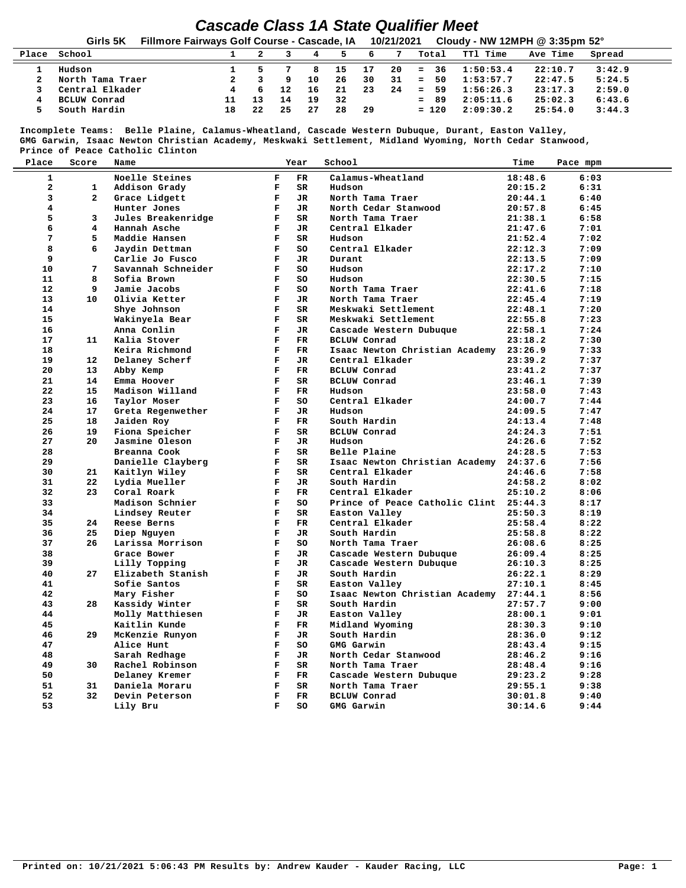## *Cascade Class 1A State Qualifier Meet* **Girls 5K Fillmore Fairways Golf Course - Cascade, IA 10/21/2021 Cloudy - NW 12MPH @ 3:35pm 52° Place School 1 2 3 4 5 6 7 Total TTl Time Ave Time Spread 1 Hudson 1 5 7 8 15 17 20 = 36 1:50:53.4 22:10.7 3:42.9 2 North Tama Traer 2 3 9 10 26 30 31 = 50 1:53:57.7 22:47.5 5:24.5 3 Central Elkader 4 6 12 16 21 23 24 = 59 1:56:26.3 23:17.3 2:59.0 4 BCLUW Conrad 11 13 14 19 32 = 89 2:05:11.6 25:02.3 6:43.6 5 South Hardin 18 22 25 27 28 29 = 120 2:09:30.2 25:54.0 3:44.3**

 **Incomplete Teams: Belle Plaine, Calamus-Wheatland, Cascade Western Dubuque, Durant, Easton Valley, GMG Garwin, Isaac Newton Christian Academy, Meskwaki Settlement, Midland Wyoming, North Cedar Stanwood, Prince of Peace Catholic Clinton**

| Place        | Score                   | Name               |              | Year        | School                         | Time    | Pace mpm |
|--------------|-------------------------|--------------------|--------------|-------------|--------------------------------|---------|----------|
| $\mathbf{1}$ |                         | Noelle Steines     | $\mathbf{F}$ | FR.         | Calamus-Wheatland              | 18:48.6 | 6:03     |
| $\mathbf{z}$ | $\mathbf{1}$            | Addison Grady      | $\mathbf{F}$ | SR          | Hudson                         | 20:15.2 | 6:31     |
| 3            | $\overline{2}$          | Grace Lidgett      | $\mathbf F$  | <b>JR</b>   | North Tama Traer               | 20:44.1 | 6:40     |
| 4            |                         | Hunter Jones       | F            | JR          | North Cedar Stanwood           | 20:57.8 | 6:45     |
| 5            | 3                       | Jules Breakenridge | $\mathbf F$  | SR          | North Tama Traer               | 21:38.1 | 6:58     |
| 6            | $\overline{\mathbf{4}}$ | Hannah Asche       | $\mathbf F$  | JR.         | Central Elkader                | 21:47.6 | 7:01     |
| 7            | 5                       | Maddie Hansen      | $\mathbf F$  | <b>SR</b>   | Hudson                         | 21:52.4 | 7:02     |
| 8            | 6                       | Jaydin Dettman     | $\mathbf{F}$ | SO          | Central Elkader                | 22:12.3 | 7:09     |
| 9            |                         | Carlie Jo Fusco    | $\mathbf F$  | <b>JR</b>   | Durant                         | 22:13.5 | 7:09     |
| 10           | 7                       | Savannah Schneider | F            | SO.         | Hudson                         | 22:17.2 | 7:10     |
| 11           | 8                       | Sofia Brown        | $\mathbf F$  | SO          | Hudson                         | 22:30.5 | 7:15     |
| 12           | 9                       | Jamie Jacobs       | $\mathbf{F}$ | SO          | North Tama Traer               | 22:41.6 | 7:18     |
| 13           | 10                      |                    | $\mathbf F$  | <b>JR</b>   |                                |         | 7:19     |
| 14           |                         | Olivia Ketter      | F            |             | North Tama Traer               | 22:45.4 |          |
|              |                         | Shye Johnson       |              | SR.         | Meskwaki Settlement            | 22:48.1 | 7:20     |
| 15           |                         | Wakinyela Bear     | $\mathbf{F}$ | <b>SR</b>   | Meskwaki Settlement            | 22:55.8 | 7:23     |
| 16           |                         | Anna Conlin        | $\mathbf{F}$ | JR.         | Cascade Western Dubuque        | 22:58.1 | 7:24     |
| 17           | 11                      | Kalia Stover       | $\mathbf{F}$ | FR          | <b>BCLUW</b> Conrad            | 23:18.2 | 7:30     |
| 18           |                         | Keira Richmond     | $\mathbf{F}$ | $_{\rm FR}$ | Isaac Newton Christian Academy | 23:26.9 | 7:33     |
| 19           | $12 \,$                 | Delaney Scherf     | $\mathbf{F}$ | JR          | Central Elkader                | 23:39.2 | 7:37     |
| 20           | 13                      | Abby Kemp          | F            | FR          | <b>BCLUW</b> Conrad            | 23:41.2 | 7:37     |
| 21           | 14                      | Emma Hoover        | $\mathbf{F}$ | SR          | <b>BCLUW</b> Conrad            | 23:46.1 | 7:39     |
| 22           | 15                      | Madison Willand    | $\mathbf{F}$ | FR          | Hudson                         | 23:58.0 | 7:43     |
| 23           | 16                      | Taylor Moser       | $\mathbf{F}$ | SO          | Central Elkader                | 24:00.7 | 7:44     |
| 24           | 17                      | Greta Regenwether  | $\mathbf F$  | JR.         | Hudson                         | 24:09.5 | 7:47     |
| 25           | 18                      | Jaiden Roy         | $\mathbf{F}$ | $_{\rm FR}$ | South Hardin                   | 24:13.4 | 7:48     |
| 26           | 19                      | Fiona Speicher     | $\mathbf{F}$ | SR          | <b>BCLUW</b> Conrad            | 24:24.3 | 7:51     |
| 27           | 20                      | Jasmine Oleson     | F            | JR.         | Hudson                         | 24:26.6 | 7:52     |
| 28           |                         | Breanna Cook       | $\mathbf F$  | <b>SR</b>   | Belle Plaine                   | 24:28.5 | 7:53     |
| 29           |                         | Danielle Clayberg  | $\mathbf{F}$ | <b>SR</b>   | Isaac Newton Christian Academy | 24:37.6 | 7:56     |
| 30           | 21                      | Kaitlyn Wiley      | F            | SR          | Central Elkader                | 24:46.6 | 7:58     |
| 31           | 22                      | Lydia Mueller      | F            | JR.         | South Hardin                   | 24:58.2 | 8:02     |
| 32           | 23                      | Coral Roark        | $\mathbf F$  | FR          | Central Elkader                | 25:10.2 | 8:06     |
| 33           |                         | Madison Schnier    | $\mathbf F$  | SO          | Prince of Peace Catholic Clint | 25:44.3 | 8:17     |
| 34           |                         | Lindsey Reuter     | $\mathbf{F}$ | SR          | Easton Valley                  | 25:50.3 | 8:19     |
| 35           | 24                      | Reese Berns        | $\mathbf{F}$ | FR.         | Central Elkader                | 25:58.4 | 8:22     |
| 36           | 25                      | Diep Nguyen        | $\mathbf F$  | JR          | South Hardin                   | 25:58.8 | 8:22     |
| 37           | 26                      | Larissa Morrison   | $\mathbf{F}$ | SO.         | North Tama Traer               | 26:08.6 | 8:25     |
| 38           |                         | Grace Bower        | $\mathbf F$  | JR          | Cascade Western Dubuque        | 26:09.4 | 8:25     |
| 39           |                         | Lilly Topping      | F            | JR          | Cascade Western Dubuque        | 26:10.3 | 8:25     |
| 40           | 27                      | Elizabeth Stanish  | $\mathbf F$  | JR.         | South Hardin                   | 26:22.1 | 8:29     |
| 41           |                         | Sofie Santos       | $\mathbf F$  | SR          | Easton Valley                  | 27:10.1 | 8:45     |
| 42           |                         | Mary Fisher        | $\mathbf{F}$ | SO          | Isaac Newton Christian Academy | 27:44.1 | 8:56     |
| 43           | 28                      | Kassidy Winter     | $\mathbf F$  | SR          | South Hardin                   | 27:57.7 | 9:00     |
| 44           |                         | Molly Matthiesen   | $\mathbf{F}$ | JR.         | Easton Valley                  | 28:00.1 | 9:01     |
| 45           |                         | Kaitlin Kunde      | $\mathbf{F}$ | FR          | Midland Wyoming                | 28:30.3 | 9:10     |
| 46           | 29                      | McKenzie Runyon    | $\mathbf{F}$ | JR.         | South Hardin                   | 28:36.0 | 9:12     |
| 47           |                         | Alice Hunt         | $\mathbf{F}$ | so          | GMG Garwin                     | 28:43.4 | 9:15     |
| 48           |                         | Sarah Redhage      | $\mathbf{F}$ | JR.         | North Cedar Stanwood           | 28:46.2 | 9:16     |
| 49           | 30                      | Rachel Robinson    | $\mathbf F$  | SR          | North Tama Traer               | 28:48.4 | 9:16     |
| 50           |                         | Delaney Kremer     | $\mathbf F$  | FR.         | Cascade Western Dubuque        | 29:23.2 | 9:28     |
| 51           | 31                      | Daniela Moraru     | $\mathbf F$  | SR          | North Tama Traer               | 29:55.1 | 9:38     |
| 52           | 32                      | Devin Peterson     | $\mathbf{F}$ | FR.         | <b>BCLUW Conrad</b>            | 30:01.8 | 9:40     |
| 53           |                         | Lily Bru           | $\mathbf F$  | SO          | GMG Garwin                     | 30:14.6 | 9:44     |
|              |                         |                    |              |             |                                |         |          |